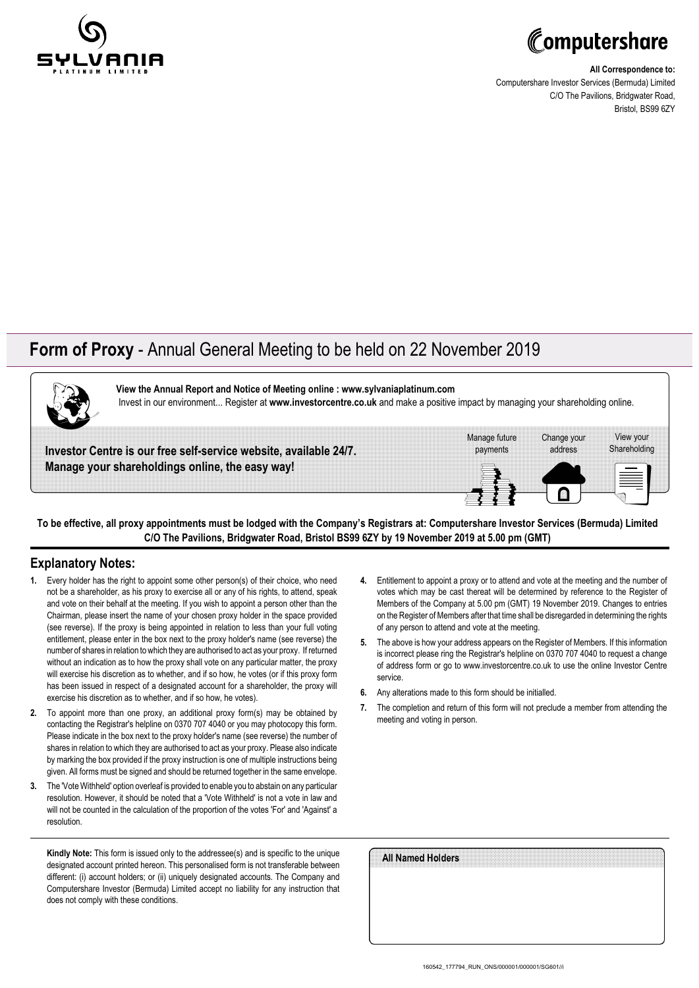



**All Correspondence to:** Computershare Investor Services (Bermuda) Limited C/O The Pavilions, Bridgwater Road, Bristol, BS99 6ZY

## **Form of Proxy** - Annual General Meeting to be held on 22 November 2019



**View the Annual Report and Notice of Meeting online : www.sylvaniaplatinum.com** Invest in our environment... Register at **www.investorcentre.co.uk** and make a positive impact by managing your shareholding online.

**Investor Centre is our free self-service website, available 24/7. Manage your shareholdings online, the easy way!**



**To be effective, all proxy appointments must be lodged with the Company's Registrars at: Computershare Investor Services (Bermuda) Limited C/O The Pavilions, Bridgwater Road, Bristol BS99 6ZY by 19 November 2019 at 5.00 pm (GMT)**

### **Explanatory Notes:**

- **1.** Every holder has the right to appoint some other person(s) of their choice, who need not be a shareholder, as his proxy to exercise all or any of his rights, to attend, speak and vote on their behalf at the meeting. If you wish to appoint a person other than the Chairman, please insert the name of your chosen proxy holder in the space provided (see reverse). If the proxy is being appointed in relation to less than your full voting entitlement, please enter in the box next to the proxy holder's name (see reverse) the number of shares in relation to which they are authorised to act as your proxy. If returned without an indication as to how the proxy shall vote on any particular matter, the proxy will exercise his discretion as to whether, and if so how, he votes (or if this proxy form has been issued in respect of a designated account for a shareholder, the proxy will exercise his discretion as to whether, and if so how, he votes).
- **2.** To appoint more than one proxy, an additional proxy form(s) may be obtained by contacting the Registrar's helpline on 0370 707 4040 or you may photocopy this form. Please indicate in the box next to the proxy holder's name (see reverse) the number of shares in relation to which they are authorised to act as your proxy. Please also indicate by marking the box provided if the proxy instruction is one of multiple instructions being given. All forms must be signed and should be returned together in the same envelope.
- **3.** The 'Vote Withheld' option overleaf is provided to enable you to abstain on any particular resolution. However, it should be noted that a 'Vote Withheld' is not a vote in law and will not be counted in the calculation of the proportion of the votes 'For' and 'Against' a resolution.

**Kindly Note:** This form is issued only to the addressee(s) and is specific to the unique designated account printed hereon. This personalised form is not transferable between different: (i) account holders; or (ii) uniquely designated accounts. The Company and Computershare Investor (Bermuda) Limited accept no liability for any instruction that does not comply with these conditions.

- **4.** Entitlement to appoint a proxy or to attend and vote at the meeting and the number of votes which may be cast thereat will be determined by reference to the Register of Members of the Company at 5.00 pm (GMT) 19 November 2019. Changes to entries on the Register of Members after that time shall be disregarded in determining the rights of any person to attend and vote at the meeting.
- **5.** The above is how your address appears on the Register of Members. If this information is incorrect please ring the Registrar's helpline on 0370 707 4040 to request a change of address form or go to www.investorcentre.co.uk to use the online Investor Centre service.
- **6.** Any alterations made to this form should be initialled.
- **7.** The completion and return of this form will not preclude a member from attending the meeting and voting in person.

| All Named Holders |  |  |  |
|-------------------|--|--|--|
|                   |  |  |  |
|                   |  |  |  |
|                   |  |  |  |
|                   |  |  |  |